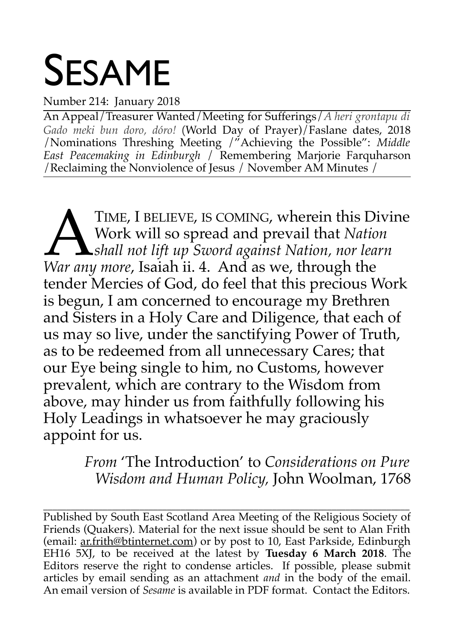# SESAME

Number 214: January 2018

An Appeal/Treasurer Wanted/Meeting for Sufferings/*A heri grontapu di Gado meki bun doro, dóro!* (World Day of Prayer)/Faslane dates, 2018 /Nominations Threshing Meeting /"Achieving the Possible": *Middle East Peacemaking in Edinburgh* / Remembering Marjorie Farquharson /Reclaiming the Nonviolence of Jesus / November AM Minutes /

TIME, I BELIEVE, IS COMING, wherein this Divine Work will so spread and prevail that *Nation shall not lift up Sword against Nation, nor learn TIME, I BELIEVE, IS COMING, wherein this Di*<br>*Work will so spread and prevail that Nation*<br>*War any more, Isaiah ii. 4. And as we, through the* tender Mercies of God, do feel that this precious Work is begun, I am concerned to encourage my Brethren and Sisters in a Holy Care and Diligence, that each of us may so live, under the sanctifying Power of Truth, as to be redeemed from all unnecessary Cares; that our Eye being single to him, no Customs, however prevalent, which are contrary to the Wisdom from above, may hinder us from faithfully following his Holy Leadings in whatsoever he may graciously appoint for us.

> *From* 'The Introduction' to *Considerations on Pure Wisdom and Human Policy,* John Woolman, 1768

\_\_\_\_\_\_\_\_\_\_\_\_\_\_\_\_\_\_\_\_\_\_\_\_\_\_\_\_\_\_\_\_\_\_\_\_\_\_\_\_\_\_\_\_\_\_\_\_\_\_\_\_\_\_\_\_\_\_\_\_\_\_\_\_\_\_\_\_\_\_\_\_\_\_\_\_\_\_\_\_ Published by South East Scotland Area Meeting of the Religious Society of Friends (Quakers). Material for the next issue should be sent to Alan Frith (email: ar.frith@btinternet.com) or by post to 10, East Parkside, Edinburgh EH16 5XJ, to be received at the latest by **Tuesday 6 March 2018**. The Editors reserve the right to condense articles. If possible, please submit articles by email sending as an attachment *and* in the body of the email. An email version of *Sesame* is available in PDF format. Contact the Editors.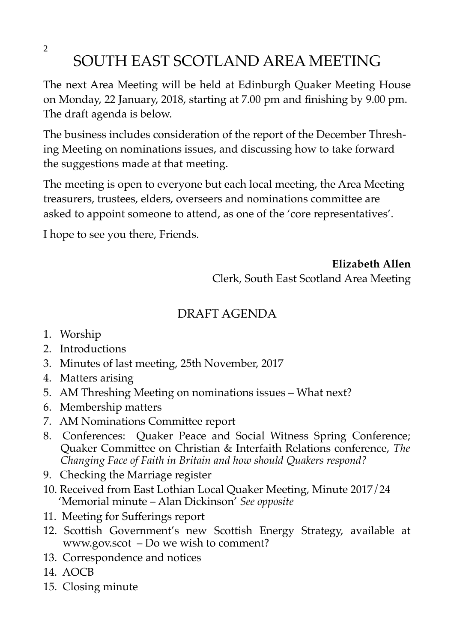2 SOUTH EAST SCOTLAND AREA MEETING

The next Area Meeting will be held at Edinburgh Quaker Meeting House on Monday, 22 January, 2018, starting at 7.00 pm and finishing by 9.00 pm. The draft agenda is below.

The business includes consideration of the report of the December Threshing Meeting on nominations issues, and discussing how to take forward the suggestions made at that meeting.

The meeting is open to everyone but each local meeting, the Area Meeting treasurers, trustees, elders, overseers and nominations committee are asked to appoint someone to attend, as one of the 'core representatives'.

I hope to see you there, Friends.

**Elizabeth Allen** Clerk, South East Scotland Area Meeting

# DRAFT AGENDA

- 1. Worship
- 2. Introductions
- 3. Minutes of last meeting, 25th November, 2017
- 4. Matters arising
- 5. AM Threshing Meeting on nominations issues What next?
- 6. Membership matters
- 7. AM Nominations Committee report
- 8. Conferences: Quaker Peace and Social Witness Spring Conference; Quaker Committee on Christian & Interfaith Relations conference, *The Changing Face of Faith in Britain and how should Quakers respond?*
- 9. Checking the Marriage register
- 10. Received from East Lothian Local Quaker Meeting, Minute 2017/24 'Memorial minute – Alan Dickinson' *See opposite*
- 11. Meeting for Sufferings report
- 12. Scottish Government's new Scottish Energy Strategy, available at www.gov.scot – Do we wish to comment?
- 13. Correspondence and notices
- 14. AOCB
- 15. Closing minute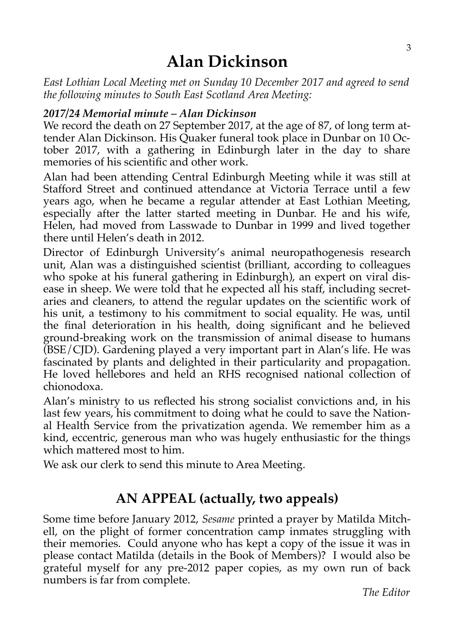# **Alan Dickinson**

*East Lothian Local Meeting met on Sunday 10 December 2017 and agreed to send the following minutes to South East Scotland Area Meeting:*

#### *2017/24 Memorial minute – Alan Dickinson*

We record the death on 27 September 2017, at the age of 87, of long term attender Alan Dickinson. His Quaker funeral took place in Dunbar on 10 October 2017, with a gathering in Edinburgh later in the day to share memories of his scientific and other work.

Alan had been attending Central Edinburgh Meeting while it was still at Stafford Street and continued attendance at Victoria Terrace until a few years ago, when he became a regular attender at East Lothian Meeting, especially after the latter started meeting in Dunbar. He and his wife, Helen, had moved from Lasswade to Dunbar in 1999 and lived together there until Helen's death in 2012.

Director of Edinburgh University's animal neuropathogenesis research unit, Alan was a distinguished scientist (brilliant, according to colleagues who spoke at his funeral gathering in Edinburgh), an expert on viral disease in sheep. We were told that he expected all his staff, including secretaries and cleaners, to attend the regular updates on the scientific work of his unit, a testimony to his commitment to social equality. He was, until the final deterioration in his health, doing significant and he believed ground-breaking work on the transmission of animal disease to humans (BSE/CJD). Gardening played a very important part in Alan's life. He was fascinated by plants and delighted in their particularity and propagation. He loved hellebores and held an RHS recognised national collection of chionodoxa.

Alan's ministry to us reflected his strong socialist convictions and, in his last few years, his commitment to doing what he could to save the National Health Service from the privatization agenda. We remember him as a kind, eccentric, generous man who was hugely enthusiastic for the things which mattered most to him.

We ask our clerk to send this minute to Area Meeting.

# **AN APPEAL (actually, two appeals)**

Some time before January 2012, *Sesame* printed a prayer by Matilda Mitchell, on the plight of former concentration camp inmates struggling with their memories. Could anyone who has kept a copy of the issue it was in please contact Matilda (details in the Book of Members)? I would also be grateful myself for any pre-2012 paper copies, as my own run of back numbers is far from complete.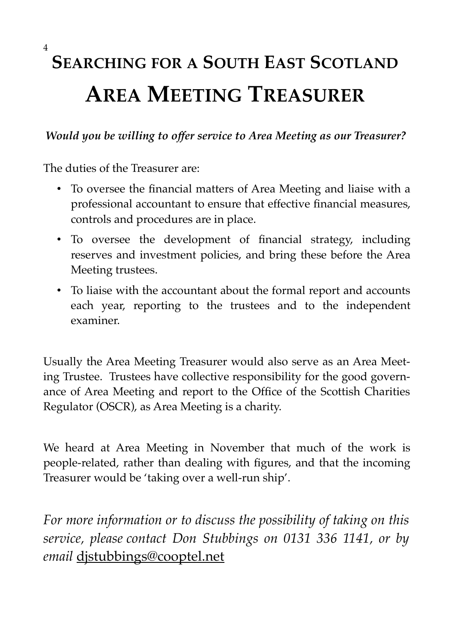# **SEARCHING FOR A SOUTH EAST SCOTLAND AREA MEETING TREASURER**

# *Would you be willing to offer service to Area Meeting as our Treasurer?*

The duties of the Treasurer are:

- To oversee the financial matters of Area Meeting and liaise with a professional accountant to ensure that effective financial measures, controls and procedures are in place.
- To oversee the development of financial strategy, including reserves and investment policies, and bring these before the Area Meeting trustees.
- To liaise with the accountant about the formal report and accounts each year, reporting to the trustees and to the independent examiner.

Usually the Area Meeting Treasurer would also serve as an Area Meeting Trustee. Trustees have collective responsibility for the good governance of Area Meeting and report to the Office of the Scottish Charities Regulator (OSCR), as Area Meeting is a charity.

We heard at Area Meeting in November that much of the work is people-related, rather than dealing with figures, and that the incoming Treasurer would be 'taking over a well-run ship'.

*For more information or to discuss the possibility of taking on this service, please contact Don Stubbings on 0131 336 1141, or by email* djstubbings@cooptel.net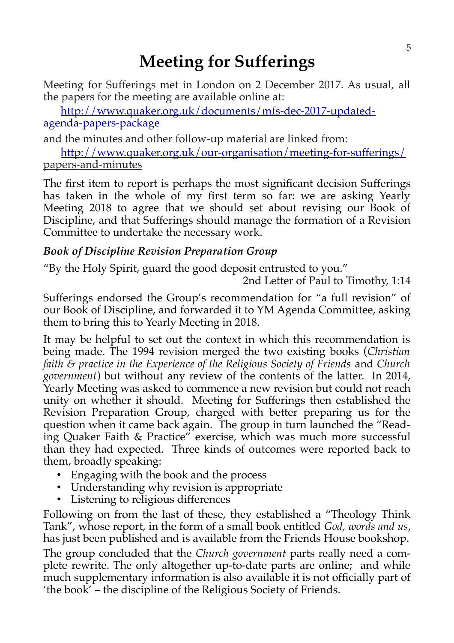# **Meeting for Sufferings**

Meeting for Sufferings met in London on 2 December 2017. As usual, all the papers for the meeting are available online at:

[http://www.quaker.org.uk/documents/mfs-dec-2017-updated](http://www.quaker.org.uk/documents/mfs-dec-2017-updated-agenda-papers-package)[agenda-papers-package](http://www.quaker.org.uk/documents/mfs-dec-2017-updated-agenda-papers-package)

and the minutes and other follow-up material are linked from:

<http://www.quaker.org.uk/our-organisation/meeting-for-sufferings/> papers-and-minutes

The first item to report is perhaps the most significant decision Sufferings has taken in the whole of my first term so far: we are asking Yearly Meeting 2018 to agree that we should set about revising our Book of Discipline, and that Sufferings should manage the formation of a Revision Committee to undertake the necessary work.

# *Book of Discipline Revision Preparation Group*

"By the Holy Spirit, guard the good deposit entrusted to you."

2nd Letter of Paul to Timothy, 1:14

Sufferings endorsed the Group's recommendation for "a full revision" of our Book of Discipline, and forwarded it to YM Agenda Committee, asking them to bring this to Yearly Meeting in 2018.

It may be helpful to set out the context in which this recommendation is being made. The 1994 revision merged the two existing books (*Christian faith & practice in the Experience of the Religious Society of Friends* and *Church government*) but without any review of the contents of the latter. In 2014, Yearly Meeting was asked to commence a new revision but could not reach unity on whether it should. Meeting for Sufferings then established the Revision Preparation Group, charged with better preparing us for the question when it came back again. The group in turn launched the "Reading Quaker Faith & Practice" exercise, which was much more successful than they had expected. Three kinds of outcomes were reported back to them, broadly speaking:

- Engaging with the book and the process
- Understanding why revision is appropriate
- Listening to religious differences

Following on from the last of these, they established a "Theology Think Tank", whose report, in the form of a small book entitled *God, words and us*, has just been published and is available from the Friends House bookshop.

The group concluded that the *Church government* parts really need a complete rewrite. The only altogether up-to-date parts are online; and while much supplementary information is also available it is not officially part of 'the book' – the discipline of the Religious Society of Friends.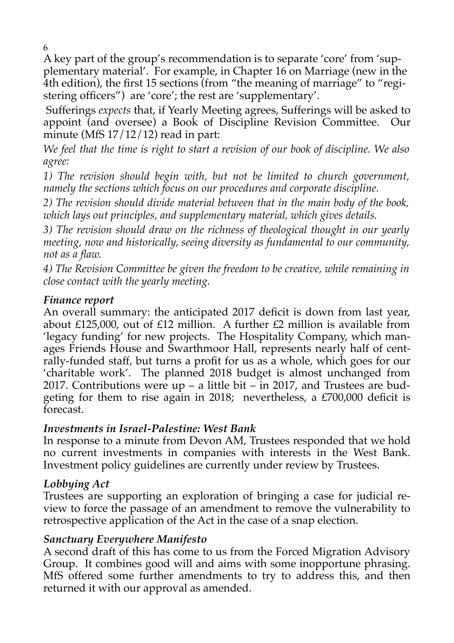6

A key part of the group's recommendation is to separate 'core' from 'supplementary material'. For example, in Chapter 16 on Marriage (new in the 4th edition), the first 15 sections (from "the meaning of marriage" to "registering officers") are 'core'; the rest are 'supplementary'.

 Sufferings *expects* that, if Yearly Meeting agrees, Sufferings will be asked to appoint (and oversee) a Book of Discipline Revision Committee. Our minute (MfS  $17/12/12$ ) read in part:

*We feel that the time is right to start a revision of our book of discipline. We also agree:* 

*1) The revision should begin with, but not be limited to church government, namely the sections which focus on our procedures and corporate discipline.*

*2) The revision should divide material between that in the main body of the book, which lays out principles, and supplementary material, which gives details.*

*3) The revision should draw on the richness of theological thought in our yearly meeting, now and historically, seeing diversity as fundamental to our community, not as a flaw.*

*4) The Revision Committee be given the freedom to be creative, while remaining in close contact with the yearly meeting.*

### *Finance report*

An overall summary: the anticipated 2017 deficit is down from last year, about £125,000, out of £12 million. A further £2 million is available from 'legacy funding' for new projects. The Hospitality Company, which manages Friends House and Swarthmoor Hall, represents nearly half of centrally-funded staff, but turns a profit for us as a whole, which goes for our 'charitable work'. The planned 2018 budget is almost unchanged from 2017. Contributions were  $up - a$  little bit  $-$  in 2017, and Trustees are budgeting for them to rise again in 2018; nevertheless, a £700,000 deficit is forecast.

### *Investments in Israel-Palestine: West Bank*

In response to a minute from Devon AM, Trustees responded that we hold no current investments in companies with interests in the West Bank. Investment policy guidelines are currently under review by Trustees.

### *Lobbying Act*

Trustees are supporting an exploration of bringing a case for judicial review to force the passage of an amendment to remove the vulnerability to retrospective application of the Act in the case of a snap election.

### *Sanctuary Everywhere Manifesto*

A second draft of this has come to us from the Forced Migration Advisory Group. It combines good will and aims with some inopportune phrasing. MfS offered some further amendments to try to address this, and then returned it with our approval as amended.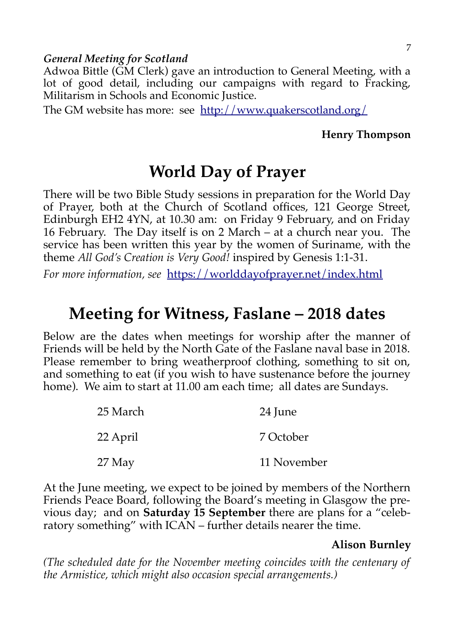#### *General Meeting for Scotland*

Adwoa Bittle (GM Clerk) gave an introduction to General Meeting, with a lot of good detail, including our campaigns with regard to Fracking, Militarism in Schools and Economic Justice.

The GM website has more: see <http://www.quakerscotland.org/>

#### **Henry Thompson**

# **World Day of Prayer**

There will be two Bible Study sessions in preparation for the World Day of Prayer, both at the Church of Scotland offices, 121 George Street, Edinburgh EH2 4YN, at 10.30 am: on Friday 9 February, and on Friday 16 February. The Day itself is on 2 March – at a church near you. The service has been written this year by the women of Suriname, with the theme *All God's Creation is Very Good!* inspired by Genesis 1:1-31.

For more information, see <https://worlddayofprayer.net/index.html>

# **Meeting for Witness, Faslane – 2018 dates**

Below are the dates when meetings for worship after the manner of Friends will be held by the North Gate of the Faslane naval base in 2018. Please remember to bring weatherproof clothing, something to sit on, and something to eat (if you wish to have sustenance before the journey home). We aim to start at 11.00 am each time; all dates are Sundays.

| 25 March | 24 June     |
|----------|-------------|
| 22 April | 7 October   |
| $27$ May | 11 November |

At the June meeting, we expect to be joined by members of the Northern Friends Peace Board, following the Board's meeting in Glasgow the previous day; and on **Saturday 15 September** there are plans for a "celebratory something" with ICAN – further details nearer the time.

#### **Alison Burnley**

*(The scheduled date for the November meeting coincides with the centenary of the Armistice, which might also occasion special arrangements.)*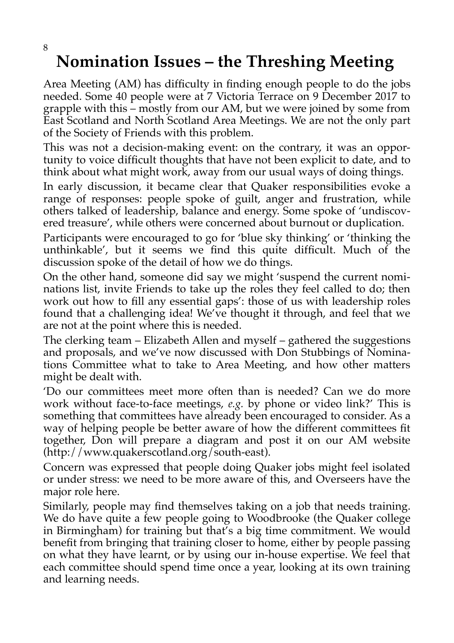# **Nomination Issues – the Threshing Meeting**

Area Meeting (AM) has difficulty in finding enough people to do the jobs needed. Some 40 people were at 7 Victoria Terrace on 9 December 2017 to grapple with this – mostly from our AM, but we were joined by some from East Scotland and North Scotland Area Meetings. We are not the only part of the Society of Friends with this problem.

This was not a decision-making event: on the contrary, it was an opportunity to voice difficult thoughts that have not been explicit to date, and to think about what might work, away from our usual ways of doing things.

In early discussion, it became clear that Quaker responsibilities evoke a range of responses: people spoke of guilt, anger and frustration, while others talked of leadership, balance and energy. Some spoke of 'undiscovered treasure', while others were concerned about burnout or duplication.

Participants were encouraged to go for 'blue sky thinking' or 'thinking the unthinkable', but it seems we find this quite difficult. Much of the discussion spoke of the detail of how we do things.

On the other hand, someone did say we might 'suspend the current nominations list, invite Friends to take up the roles they feel called to do; then work out how to fill any essential gaps': those of us with leadership roles found that a challenging idea! We've thought it through, and feel that we are not at the point where this is needed.

The clerking team – Elizabeth Allen and myself – gathered the suggestions and proposals, and we've now discussed with Don Stubbings of Nominations Committee what to take to Area Meeting, and how other matters might be dealt with.

'Do our committees meet more often than is needed? Can we do more work without face-to-face meetings, *e.g.* by phone or video link?' This is something that committees have already been encouraged to consider. As a way of helping people be better aware of how the different committees fit together, Don will prepare a diagram and post it on our AM website (http://www.quakerscotland.org/south-east).

Concern was expressed that people doing Quaker jobs might feel isolated or under stress: we need to be more aware of this, and Overseers have the major role here.

Similarly, people may find themselves taking on a job that needs training. We do have quite a few people going to Woodbrooke (the Quaker college in Birmingham) for training but that's a big time commitment. We would benefit from bringing that training closer to home, either by people passing on what they have learnt, or by using our in-house expertise. We feel that each committee should spend time once a year, looking at its own training and learning needs.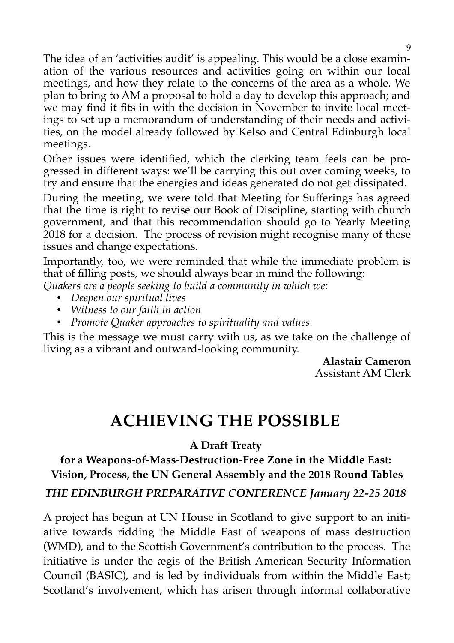The idea of an 'activities audit' is appealing. This would be a close examination of the various resources and activities going on within our local meetings, and how they relate to the concerns of the area as a whole. We plan to bring to AM a proposal to hold a day to develop this approach; and we may find it fits in with the decision in November to invite local meetings to set up a memorandum of understanding of their needs and activities, on the model already followed by Kelso and Central Edinburgh local meetings.

Other issues were identified, which the clerking team feels can be progressed in different ways: we'll be carrying this out over coming weeks, to try and ensure that the energies and ideas generated do not get dissipated.

During the meeting, we were told that Meeting for Sufferings has agreed that the time is right to revise our Book of Discipline, starting with church government, and that this recommendation should go to Yearly Meeting 2018 for a decision. The process of revision might recognise many of these issues and change expectations.

Importantly, too, we were reminded that while the immediate problem is that of filling posts, we should always bear in mind the following:

*Quakers are a people seeking to build a community in which we:*

- *Deepen our spiritual lives*
- *Witness to our faith in action*
- *Promote Quaker approaches to spirituality and values.*

This is the message we must carry with us, as we take on the challenge of living as a vibrant and outward-looking community.

**Alastair Cameron** Assistant AM Clerk

# **ACHIEVING THE POSSIBLE**

**A Draft Treaty** 

**for a Weapons-of-Mass-Destruction-Free Zone in the Middle East: Vision, Process, the UN General Assembly and the 2018 Round Tables** *THE EDINBURGH PREPARATIVE CONFERENCE January 22-25 2018*

A project has begun at UN House in Scotland to give support to an initiative towards ridding the Middle East of weapons of mass destruction (WMD), and to the Scottish Government's contribution to the process. The initiative is under the ægis of the British American Security Information Council (BASIC), and is led by individuals from within the Middle East; Scotland's involvement, which has arisen through informal collaborative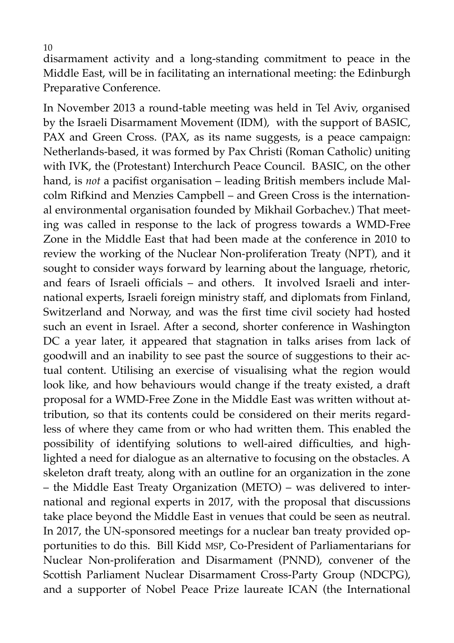10

disarmament activity and a long-standing commitment to peace in the Middle East, will be in facilitating an international meeting: the Edinburgh Preparative Conference.

In November 2013 a round-table meeting was held in Tel Aviv, organised by the Israeli Disarmament Movement (IDM), with the support of BASIC, PAX and Green Cross. (PAX, as its name suggests, is a peace campaign: Netherlands-based, it was formed by Pax Christi (Roman Catholic) uniting with IVK, the (Protestant) Interchurch Peace Council. BASIC, on the other hand, is *not* a pacifist organisation – leading British members include Malcolm Rifkind and Menzies Campbell – and Green Cross is the international environmental organisation founded by Mikhail Gorbachev.) That meeting was called in response to the lack of progress towards a WMD-Free Zone in the Middle East that had been made at the conference in 2010 to review the working of the Nuclear Non-proliferation Treaty (NPT), and it sought to consider ways forward by learning about the language, rhetoric, and fears of Israeli officials – and others. It involved Israeli and international experts, Israeli foreign ministry staff, and diplomats from Finland, Switzerland and Norway, and was the first time civil society had hosted such an event in Israel. After a second, shorter conference in Washington DC a year later, it appeared that stagnation in talks arises from lack of goodwill and an inability to see past the source of suggestions to their actual content. Utilising an exercise of visualising what the region would look like, and how behaviours would change if the treaty existed, a draft proposal for a WMD-Free Zone in the Middle East was written without attribution, so that its contents could be considered on their merits regardless of where they came from or who had written them. This enabled the possibility of identifying solutions to well-aired difficulties, and highlighted a need for dialogue as an alternative to focusing on the obstacles. A skeleton draft treaty, along with an outline for an organization in the zone – the Middle East Treaty Organization (METO) – was delivered to international and regional experts in 2017, with the proposal that discussions take place beyond the Middle East in venues that could be seen as neutral. In 2017, the UN-sponsored meetings for a nuclear ban treaty provided opportunities to do this. Bill Kidd MSP, Co-President of Parliamentarians for Nuclear Non-proliferation and Disarmament (PNND), convener of the Scottish Parliament Nuclear Disarmament Cross-Party Group (NDCPG), and a supporter of Nobel Peace Prize laureate ICAN (the International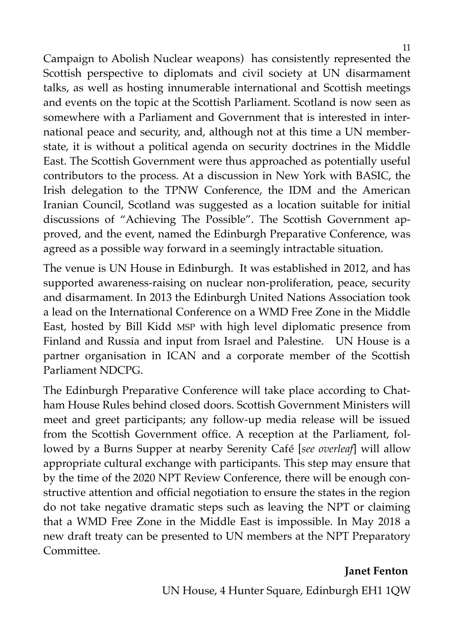11

Campaign to Abolish Nuclear weapons) has consistently represented the Scottish perspective to diplomats and civil society at UN disarmament talks, as well as hosting innumerable international and Scottish meetings and events on the topic at the Scottish Parliament. Scotland is now seen as somewhere with a Parliament and Government that is interested in international peace and security, and, although not at this time a UN memberstate, it is without a political agenda on security doctrines in the Middle East. The Scottish Government were thus approached as potentially useful contributors to the process. At a discussion in New York with BASIC, the Irish delegation to the TPNW Conference, the IDM and the American Iranian Council, Scotland was suggested as a location suitable for initial discussions of "Achieving The Possible". The Scottish Government approved, and the event, named the Edinburgh Preparative Conference, was agreed as a possible way forward in a seemingly intractable situation.

The venue is UN House in Edinburgh. It was established in 2012, and has supported awareness-raising on nuclear non-proliferation, peace, security and disarmament. In 2013 the Edinburgh United Nations Association took a lead on the International Conference on a WMD Free Zone in the Middle East, hosted by Bill Kidd MSP with high level diplomatic presence from Finland and Russia and input from Israel and Palestine. UN House is a partner organisation in ICAN and a corporate member of the Scottish Parliament NDCPG.

The Edinburgh Preparative Conference will take place according to Chatham House Rules behind closed doors. Scottish Government Ministers will meet and greet participants; any follow-up media release will be issued from the Scottish Government office. A reception at the Parliament, followed by a Burns Supper at nearby Serenity Café [*see overleaf*] will allow appropriate cultural exchange with participants. This step may ensure that by the time of the 2020 NPT Review Conference, there will be enough constructive attention and official negotiation to ensure the states in the region do not take negative dramatic steps such as leaving the NPT or claiming that a WMD Free Zone in the Middle East is impossible. In May 2018 a new draft treaty can be presented to UN members at the NPT Preparatory Committee.

#### **Janet Fenton**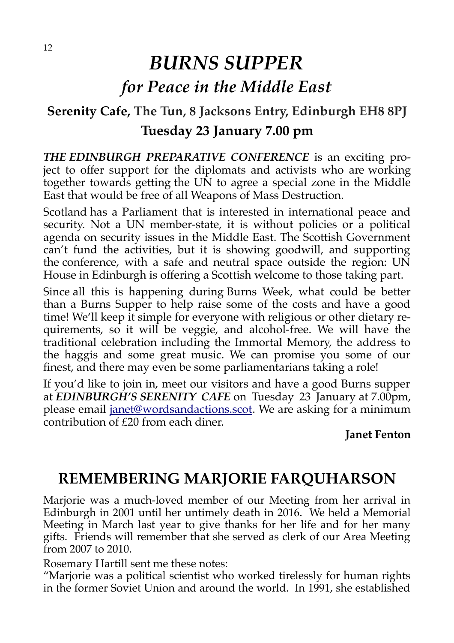# *BURNS SUPPER for Peace in the Middle East*

# **Serenity Cafe, The Tun, 8 Jacksons Entry, Edinburgh EH8 8PJ Tuesday 23 January 7.00 pm**

*THE EDINBURGH PREPARATIVE CONFERENCE* is an exciting project to offer support for the diplomats and activists who are working together towards getting the UN to agree a special zone in the Middle East that would be free of all Weapons of Mass Destruction.

Scotland has a Parliament that is interested in international peace and security. Not a UN member-state, it is without policies or a political agenda on security issues in the Middle East. The Scottish Government can't fund the activities, but it is showing goodwill, and supporting the conference, with a safe and neutral space outside the region: UN House in Edinburgh is offering a Scottish welcome to those taking part.

Since all this is happening during Burns Week, what could be better than a Burns Supper to help raise some of the costs and have a good time! We'll keep it simple for everyone with religious or other dietary requirements, so it will be veggie, and alcohol-free. We will have the traditional celebration including the Immortal Memory, the address to the haggis and some great music. We can promise you some of our finest, and there may even be some parliamentarians taking a role!

If you'd like to join in, meet our visitors and have a good Burns supper at *EDINBURGH'S SERENITY CAFE* on Tuesday 23 January at 7.00pm, please email [janet@wordsandactions.scot.](mailto:janet@wordsandactions.scot) We are asking for a minimum contribution of £20 from each diner.

### **Janet Fenton**

# **REMEMBERING MARJORIE FARQUHARSON**

Marjorie was a much-loved member of our Meeting from her arrival in Edinburgh in 2001 until her untimely death in 2016. We held a Memorial Meeting in March last year to give thanks for her life and for her many gifts. Friends will remember that she served as clerk of our Area Meeting from 2007 to 2010.

Rosemary Hartill sent me these notes:

"Marjorie was a political scientist who worked tirelessly for human rights in the former Soviet Union and around the world. In 1991, she established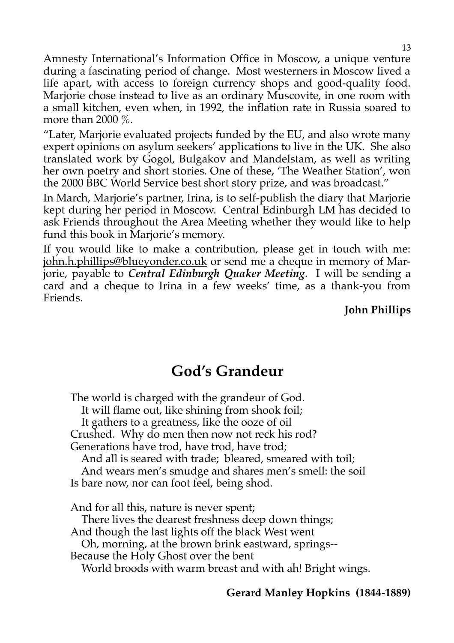Amnesty International's Information Office in Moscow, a unique venture during a fascinating period of change. Most westerners in Moscow lived a life apart, with access to foreign currency shops and good-quality food. Marjorie chose instead to live as an ordinary Muscovite, in one room with a small kitchen, even when, in 1992, the inflation rate in Russia soared to more than 2000  $\%$ .

"Later, Marjorie evaluated projects funded by the EU, and also wrote many expert opinions on asylum seekers' applications to live in the UK. She also translated work by Gogol, Bulgakov and Mandelstam, as well as writing her own poetry and short stories. One of these, 'The Weather Station', won the 2000 BBC World Service best short story prize, and was broadcast."

In March, Marjorie's partner, Irina, is to self-publish the diary that Marjorie kept during her period in Moscow. Central Edinburgh LM has decided to ask Friends throughout the Area Meeting whether they would like to help fund this book in Marjorie's memory.

If you would like to make a contribution, please get in touch with me: john.h.phillips@blueyonder.co.uk or send me a cheque in memory of Marjorie, payable to *Central Edinburgh Quaker Meeting*. I will be sending a card and a cheque to Irina in a few weeks' time, as a thank-you from Friends.

**John Phillips**

# **God's Grandeur**

The world is charged with the grandeur of God. It will flame out, like shining from shook foil; It gathers to a greatness, like the ooze of oil Crushed. Why do men then now not reck his rod? Generations have trod, have trod, have trod; And all is seared with trade; bleared, smeared with toil; And wears men's smudge and shares men's smell: the soil Is bare now, nor can foot feel, being shod. And for all this, nature is never spent; There lives the dearest freshness deep down things; And though the last lights off the black West went Oh, morning, at the brown brink eastward, springs-- Because the Holy Ghost over the bent

World broods with warm breast and with ah! Bright wings.

### **Gerard Manley Hopkins (1844-1889)**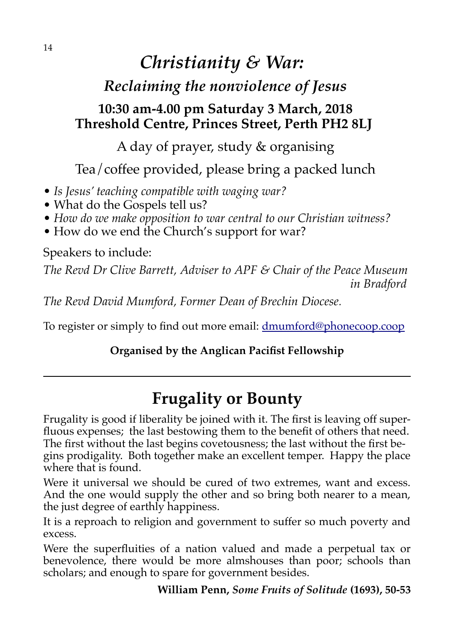# *Christianity & War:*

# *Reclaiming the nonviolence of Jesus*

# **10:30 am-4.00 pm Saturday 3 March, 2018 Threshold Centre, Princes Street, Perth PH2 8LJ**

A day of prayer, study & organising

Tea/coffee provided, please bring a packed lunch

- *Is Jesus' teaching compatible with waging war?*
- What do the Gospels tell us?
- *How do we make opposition to war central to our Christian witness?*
- How do we end the Church's support for war?

Speakers to include:

*The Revd Dr Clive Barrett, Adviser to APF & Chair of the Peace Museum in Bradford* 

*The Revd David Mumford, Former Dean of Brechin Diocese.* 

To register or simply to find out more email: [dmumford@phonecoop.coop](mailto:dmumford@phonecoop.coop)

# **Organised by the Anglican Pacifist Fellowship**

# **Frugality or Bounty**

Frugality is good if liberality be joined with it. The first is leaving off superfluous expenses; the last bestowing them to the benefit of others that need. The first without the last begins covetousness; the last without the first begins prodigality. Both together make an excellent temper. Happy the place where that is found.

Were it universal we should be cured of two extremes, want and excess. And the one would supply the other and so bring both nearer to a mean, the just degree of earthly happiness.

It is a reproach to religion and government to suffer so much poverty and excess.

Were the superfluities of a nation valued and made a perpetual tax or benevolence, there would be more almshouses than poor; schools than scholars; and enough to spare for government besides.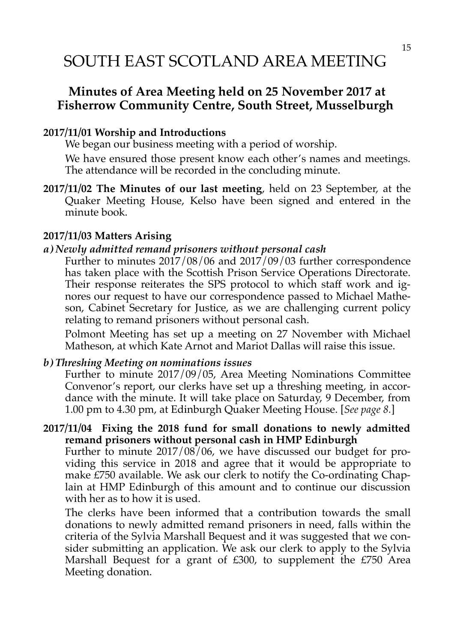# SOUTH EAST SCOTLAND AREA MEETING

# **Minutes of Area Meeting held on 25 November 2017 at Fisherrow Community Centre, South Street, Musselburgh**

#### **2017/11/01 Worship and Introductions**

We began our business meeting with a period of worship.

We have ensured those present know each other's names and meetings. The attendance will be recorded in the concluding minute.

**2017/11/02 The Minutes of our last meeting**, held on 23 September, at the Quaker Meeting House, Kelso have been signed and entered in the minute book.

#### **2017/11/03 Matters Arising**

#### *a) Newly admitted remand prisoners without personal cash*

Further to minutes 2017/08/06 and 2017/09/03 further correspondence has taken place with the Scottish Prison Service Operations Directorate. Their response reiterates the SPS protocol to which staff work and ignores our request to have our correspondence passed to Michael Matheson, Cabinet Secretary for Justice, as we are challenging current policy relating to remand prisoners without personal cash.

Polmont Meeting has set up a meeting on 27 November with Michael Matheson, at which Kate Arnot and Mariot Dallas will raise this issue.

#### *b) Threshing Meeting on nominations issues*

Further to minute 2017/09/05, Area Meeting Nominations Committee Convenor's report, our clerks have set up a threshing meeting, in accordance with the minute. It will take place on Saturday, 9 December, from 1.00 pm to 4.30 pm, at Edinburgh Quaker Meeting House. [*See page 8.*]

#### **2017/11/04 Fixing the 2018 fund for small donations to newly admitted remand prisoners without personal cash in HMP Edinburgh** Further to minute 2017/08/06, we have discussed our budget for pro-

viding this service in 2018 and agree that it would be appropriate to make £750 available. We ask our clerk to notify the Co-ordinating Chaplain at HMP Edinburgh of this amount and to continue our discussion with her as to how it is used.

The clerks have been informed that a contribution towards the small donations to newly admitted remand prisoners in need, falls within the criteria of the Sylvia Marshall Bequest and it was suggested that we consider submitting an application. We ask our clerk to apply to the Sylvia Marshall Bequest for a grant of £300, to supplement the £750 Area Meeting donation.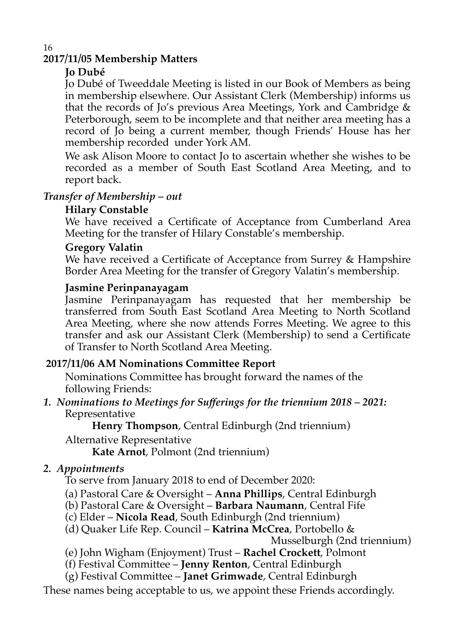# **2017/11/05 Membership Matters**

### **Jo Dubé**

16

Jo Dubé of Tweeddale Meeting is listed in our Book of Members as being in membership elsewhere. Our Assistant Clerk (Membership) informs us that the records of Jo's previous Area Meetings, York and Cambridge & Peterborough, seem to be incomplete and that neither area meeting has a record of Jo being a current member, though Friends' House has her membership recorded under York AM.

We ask Alison Moore to contact Jo to ascertain whether she wishes to be recorded as a member of South East Scotland Area Meeting, and to report back.

### *Transfer of Membership – out*

#### **Hilary Constable**

We have received a Certificate of Acceptance from Cumberland Area Meeting for the transfer of Hilary Constable's membership.

#### **Gregory Valatin**

We have received a Certificate of Acceptance from Surrey & Hampshire Border Area Meeting for the transfer of Gregory Valatin's membership.

#### **Jasmine Perinpanayagam**

Jasmine Perinpanayagam has requested that her membership be transferred from South East Scotland Area Meeting to North Scotland Area Meeting, where she now attends Forres Meeting. We agree to this transfer and ask our Assistant Clerk (Membership) to send a Certificate of Transfer to North Scotland Area Meeting.

#### **2017/11/06 AM Nominations Committee Report**

Nominations Committee has brought forward the names of the following Friends:

*1. Nominations to Meetings for Sufferings for the triennium 2018 – 2021:* Representative

**Henry Thompson**, Central Edinburgh (2nd triennium)

Alternative Representative

**Kate Arnot**, Polmont (2nd triennium)

### *2. Appointments*

To serve from January 2018 to end of December 2020:

(a) Pastoral Care & Oversight – **Anna Phillips**, Central Edinburgh

- (b) Pastoral Care & Oversight **Barbara Naumann**, Central Fife
- (c) Elder **Nicola Read**, South Edinburgh (2nd triennium)
- (d) Quaker Life Rep. Council **Katrina McCrea**, Portobello &

Musselburgh (2nd triennium)

- (e) John Wigham (Enjoyment) Trust **Rachel Crockett**, Polmont
- (f) Festival Committee **Jenny Renton**, Central Edinburgh

(g) Festival Committee – **Janet Grimwade**, Central Edinburgh

These names being acceptable to us, we appoint these Friends accordingly.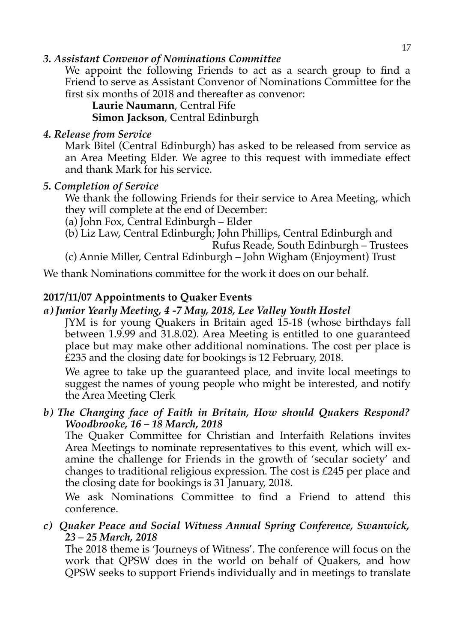#### *3. Assistant Convenor of Nominations Committee*

We appoint the following Friends to act as a search group to find a Friend to serve as Assistant Convenor of Nominations Committee for the first six months of 2018 and thereafter as convenor:

**Laurie Naumann**, Central Fife

**Simon Jackson**, Central Edinburgh

#### *4. Release from Service*

Mark Bitel (Central Edinburgh) has asked to be released from service as an Area Meeting Elder. We agree to this request with immediate effect and thank Mark for his service.

### *5. Completion of Service*

We thank the following Friends for their service to Area Meeting, which they will complete at the end of December:

- (a) John Fox, Central Edinburgh Elder
- (b) Liz Law, Central Edinburgh; John Phillips, Central Edinburgh and Rufus Reade, South Edinburgh – Trustees

(c) Annie Miller, Central Edinburgh – John Wigham (Enjoyment) Trust

We thank Nominations committee for the work it does on our behalf.

### **2017/11/07 Appointments to Quaker Events**

### *a) Junior Yearly Meeting, 4 -7 May, 2018, Lee Valley Youth Hostel*

JYM is for young Quakers in Britain aged 15-18 (whose birthdays fall between 1.9.99 and 31.8.02). Area Meeting is entitled to one guaranteed place but may make other additional nominations. The cost per place is £235 and the closing date for bookings is 12 February, 2018.

We agree to take up the guaranteed place, and invite local meetings to suggest the names of young people who might be interested, and notify the Area Meeting Clerk

#### *b) The Changing face of Faith in Britain, How should Quakers Respond? Woodbrooke, 16 – 18 March, 2018*

The Quaker Committee for Christian and Interfaith Relations invites Area Meetings to nominate representatives to this event, which will examine the challenge for Friends in the growth of 'secular society' and changes to traditional religious expression. The cost is £245 per place and the closing date for bookings is 31 January, 2018.

We ask Nominations Committee to find a Friend to attend this conference.

#### *c) Quaker Peace and Social Witness Annual Spring Conference, Swanwick, 23 – 25 March, 2018*

The 2018 theme is 'Journeys of Witness'. The conference will focus on the work that QPSW does in the world on behalf of Quakers, and how QPSW seeks to support Friends individually and in meetings to translate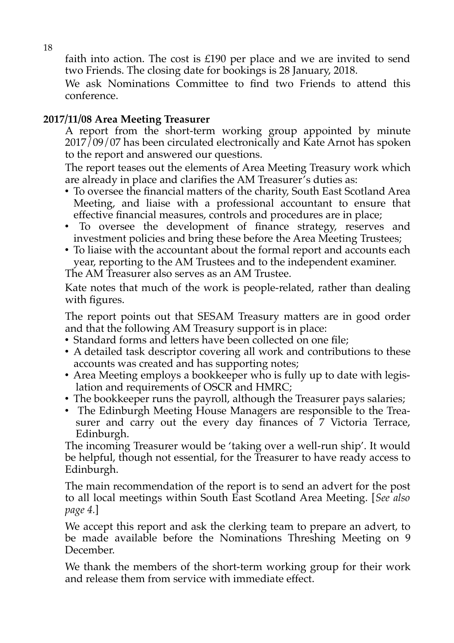faith into action. The cost is  $£190$  per place and we are invited to send two Friends. The closing date for bookings is 28 January, 2018.

We ask Nominations Committee to find two Friends to attend this conference.

# **2017/11/08 Area Meeting Treasurer**

A report from the short-term working group appointed by minute  $2017/09/07$  has been circulated electronically and Kate Arnot has spoken to the report and answered our questions.

The report teases out the elements of Area Meeting Treasury work which are already in place and clarifies the AM Treasurer's duties as:

- To oversee the financial matters of the charity, South East Scotland Area Meeting, and liaise with a professional accountant to ensure that effective financial measures, controls and procedures are in place;
- To oversee the development of finance strategy, reserves and investment policies and bring these before the Area Meeting Trustees;
- To liaise with the accountant about the formal report and accounts each year, reporting to the AM Trustees and to the independent examiner. The AM Treasurer also serves as an AM Trustee.

Kate notes that much of the work is people-related, rather than dealing with figures.

The report points out that SESAM Treasury matters are in good order and that the following AM Treasury support is in place:

- Standard forms and letters have been collected on one file;
- A detailed task descriptor covering all work and contributions to these accounts was created and has supporting notes;
- Area Meeting employs a bookkeeper who is fully up to date with legislation and requirements of OSCR and HMRC;
- The bookkeeper runs the payroll, although the Treasurer pays salaries;
- The Edinburgh Meeting House Managers are responsible to the Treasurer and carry out the every day finances of 7 Victoria Terrace, Edinburgh.

The incoming Treasurer would be 'taking over a well-run ship'. It would be helpful, though not essential, for the Treasurer to have ready access to Edinburgh.

The main recommendation of the report is to send an advert for the post to all local meetings within South East Scotland Area Meeting. [*See also page 4.*]

We accept this report and ask the clerking team to prepare an advert, to be made available before the Nominations Threshing Meeting on 9 December.

We thank the members of the short-term working group for their work and release them from service with immediate effect.

18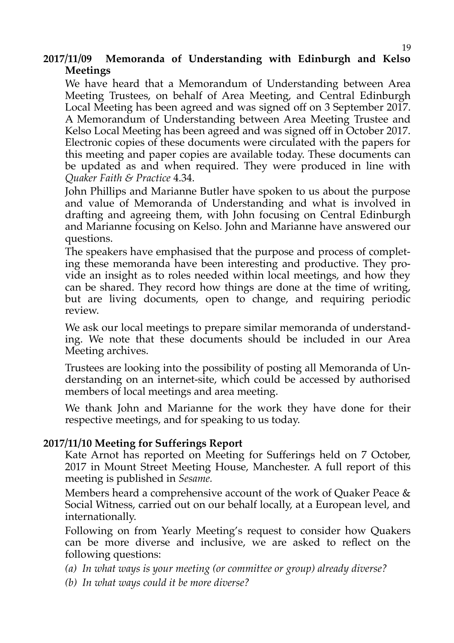#### **2017/11/09 Memoranda of Understanding with Edinburgh and Kelso Meetings**

We have heard that a Memorandum of Understanding between Area Meeting Trustees, on behalf of Area Meeting, and Central Edinburgh Local Meeting has been agreed and was signed off on 3 September 2017. A Memorandum of Understanding between Area Meeting Trustee and Kelso Local Meeting has been agreed and was signed off in October 2017. Electronic copies of these documents were circulated with the papers for this meeting and paper copies are available today. These documents can be updated as and when required. They were produced in line with *Quaker Faith & Practice* 4.34.

John Phillips and Marianne Butler have spoken to us about the purpose and value of Memoranda of Understanding and what is involved in drafting and agreeing them, with John focusing on Central Edinburgh and Marianne focusing on Kelso. John and Marianne have answered our questions.

The speakers have emphasised that the purpose and process of completing these memoranda have been interesting and productive. They provide an insight as to roles needed within local meetings, and how they can be shared. They record how things are done at the time of writing, but are living documents, open to change, and requiring periodic review.

We ask our local meetings to prepare similar memoranda of understanding. We note that these documents should be included in our Area Meeting archives.

Trustees are looking into the possibility of posting all Memoranda of Understanding on an internet-site, which could be accessed by authorised members of local meetings and area meeting.

We thank John and Marianne for the work they have done for their respective meetings, and for speaking to us today.

#### **2017/11/10 Meeting for Sufferings Report**

Kate Arnot has reported on Meeting for Sufferings held on 7 October, 2017 in Mount Street Meeting House, Manchester. A full report of this meeting is published in *Sesame.*

Members heard a comprehensive account of the work of Quaker Peace & Social Witness, carried out on our behalf locally, at a European level, and internationally.

Following on from Yearly Meeting's request to consider how Quakers can be more diverse and inclusive, we are asked to reflect on the following questions:

*(a) In what ways is your meeting (or committee or group) already diverse?*

*(b) In what ways could it be more diverse?*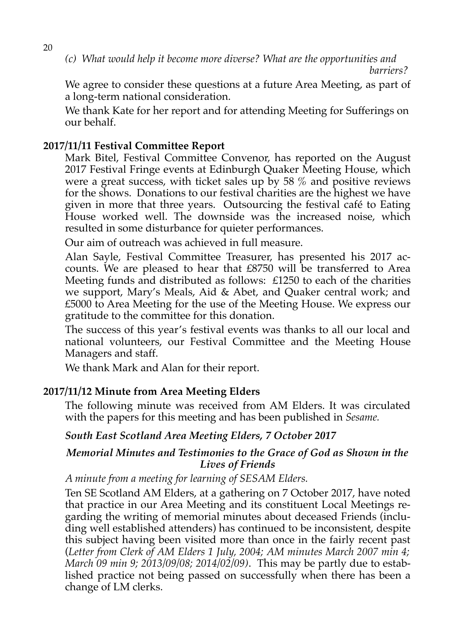*(c) What would help it become more diverse? What are the opportunities and barriers?*

We agree to consider these questions at a future Area Meeting, as part of a long-term national consideration.

We thank Kate for her report and for attending Meeting for Sufferings on our behalf.

#### **2017/11/11 Festival Committee Report**

Mark Bitel, Festival Committee Convenor, has reported on the August 2017 Festival Fringe events at Edinburgh Quaker Meeting House, which were a great success, with ticket sales up by  $58\%$  and positive reviews for the shows. Donations to our festival charities are the highest we have given in more that three years. Outsourcing the festival café to Eating House worked well. The downside was the increased noise, which resulted in some disturbance for quieter performances.

Our aim of outreach was achieved in full measure.

Alan Sayle, Festival Committee Treasurer, has presented his 2017 accounts. We are pleased to hear that £8750 will be transferred to Area Meeting funds and distributed as follows: £1250 to each of the charities we support, Mary's Meals, Aid & Abet, and Quaker central work; and £5000 to Area Meeting for the use of the Meeting House. We express our gratitude to the committee for this donation.

The success of this year's festival events was thanks to all our local and national volunteers, our Festival Committee and the Meeting House Managers and staff.

We thank Mark and Alan for their report.

#### **2017/11/12 Minute from Area Meeting Elders**

The following minute was received from AM Elders. It was circulated with the papers for this meeting and has been published in *Sesame.*

#### *South East Scotland Area Meeting Elders, 7 October 2017*

#### *Memorial Minutes and Testimonies to the Grace of God as Shown in the Lives of Friends*

*A minute from a meeting for learning of SESAM Elders.*

Ten SE Scotland AM Elders, at a gathering on 7 October 2017, have noted that practice in our Area Meeting and its constituent Local Meetings regarding the writing of memorial minutes about deceased Friends (including well established attenders) has continued to be inconsistent, despite this subject having been visited more than once in the fairly recent past (*Letter from Clerk of AM Elders 1 July, 2004; AM minutes March 2007 min 4; March 09 min 9; 2013/09/08; 2014/02/09)*. This may be partly due to established practice not being passed on successfully when there has been a change of LM clerks.

20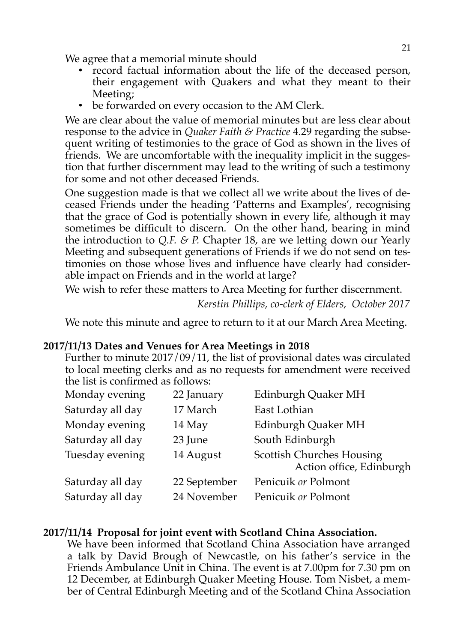We agree that a memorial minute should

- record factual information about the life of the deceased person, their engagement with Quakers and what they meant to their Meeting;
- be forwarded on every occasion to the AM Clerk.

We are clear about the value of memorial minutes but are less clear about response to the advice in *Quaker Faith & Practice* 4.29 regarding the subsequent writing of testimonies to the grace of God as shown in the lives of friends. We are uncomfortable with the inequality implicit in the suggestion that further discernment may lead to the writing of such a testimony for some and not other deceased Friends.

One suggestion made is that we collect all we write about the lives of deceased Friends under the heading 'Patterns and Examples', recognising that the grace of God is potentially shown in every life, although it may sometimes be difficult to discern. On the other hand, bearing in mind the introduction to *Q.F. & P.* Chapter 18, are we letting down our Yearly Meeting and subsequent generations of Friends if we do not send on testimonies on those whose lives and influence have clearly had considerable impact on Friends and in the world at large?

We wish to refer these matters to Area Meeting for further discernment.

*Kerstin Phillips, co-clerk of Elders, October 2017*

We note this minute and agree to return to it at our March Area Meeting.

#### **2017/11/13 Dates and Venues for Area Meetings in 2018**

Further to minute 2017/09/11, the list of provisional dates was circulated to local meeting clerks and as no requests for amendment were received the list is confirmed as follows:

| Monday evening   | 22 January   | Edinburgh Quaker MH                                          |
|------------------|--------------|--------------------------------------------------------------|
| Saturday all day | 17 March     | East Lothian                                                 |
| Monday evening   | 14 May       | Edinburgh Quaker MH                                          |
| Saturday all day | 23 June      | South Edinburgh                                              |
| Tuesday evening  | 14 August    | <b>Scottish Churches Housing</b><br>Action office, Edinburgh |
| Saturday all day | 22 September | Penicuik or Polmont                                          |
| Saturday all day | 24 November  | Penicuik or Polmont                                          |

#### **2017/11/14 Proposal for joint event with Scotland China Association.**

We have been informed that Scotland China Association have arranged a talk by David Brough of Newcastle, on his father's service in the Friends Ambulance Unit in China. The event is at 7.00pm for 7.30 pm on 12 December, at Edinburgh Quaker Meeting House. Tom Nisbet, a member of Central Edinburgh Meeting and of the Scotland China Association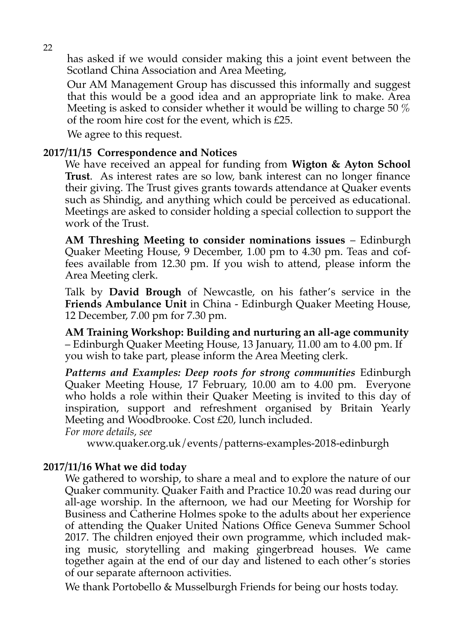has asked if we would consider making this a joint event between the Scotland China Association and Area Meeting,

Our AM Management Group has discussed this informally and suggest that this would be a good idea and an appropriate link to make. Area Meeting is asked to consider whether it would be willing to charge 50 % of the room hire cost for the event, which is £25.

We agree to this request.

#### **2017/11/15 Correspondence and Notices**

We have received an appeal for funding from **Wigton & Ayton School Trust**. As interest rates are so low, bank interest can no longer finance their giving. The Trust gives grants towards attendance at Quaker events such as Shindig, and anything which could be perceived as educational. Meetings are asked to consider holding a special collection to support the work of the Trust.

**AM Threshing Meeting to consider nominations issues** – Edinburgh Quaker Meeting House, 9 December, 1.00 pm to 4.30 pm. Teas and coffees available from 12.30 pm. If you wish to attend, please inform the Area Meeting clerk.

Talk by **David Brough** of Newcastle, on his father's service in the **Friends Ambulance Unit** in China - Edinburgh Quaker Meeting House, 12 December, 7.00 pm for 7.30 pm.

**AM Training Workshop: Building and nurturing an all-age community** – Edinburgh Quaker Meeting House, 13 January, 11.00 am to 4.00 pm. If you wish to take part, please inform the Area Meeting clerk.

*Patterns and Examples: Deep roots for strong communities* Edinburgh Quaker Meeting House, 17 February, 10.00 am to 4.00 pm. Everyone who holds a role within their Quaker Meeting is invited to this day of inspiration, support and refreshment organised by Britain Yearly Meeting and Woodbrooke. Cost £20, lunch included.

*For more details, see* 

www.quaker.org.uk/events/patterns-examples-2018-edinburgh

#### **2017/11/16 What we did today**

We gathered to worship, to share a meal and to explore the nature of our Quaker community. Quaker Faith and Practice 10.20 was read during our all-age worship. In the afternoon, we had our Meeting for Worship for Business and Catherine Holmes spoke to the adults about her experience of attending the Quaker United Nations Office Geneva Summer School 2017. The children enjoyed their own programme, which included making music, storytelling and making gingerbread houses. We came together again at the end of our day and listened to each other's stories of our separate afternoon activities.

We thank Portobello & Musselburgh Friends for being our hosts today.

22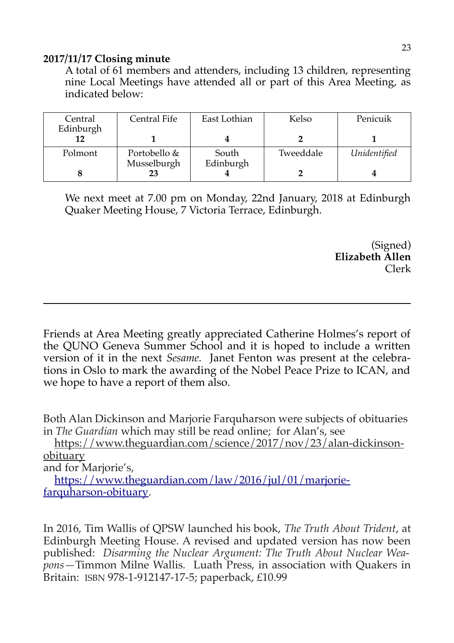#### **2017/11/17 Closing minute**

A total of 61 members and attenders, including 13 children, representing nine Local Meetings have attended all or part of this Area Meeting, as indicated below:

| Central<br>Edinburgh | Central Fife | East Lothian | Kelso     | Penicuik     |
|----------------------|--------------|--------------|-----------|--------------|
|                      |              |              |           |              |
| Polmont              | Portobello & | South        | Tweeddale | Unidentified |
|                      | Musselburgh  | Edinburgh    |           |              |

We next meet at 7.00 pm on Monday, 22nd January, 2018 at Edinburgh Quaker Meeting House, 7 Victoria Terrace, Edinburgh.

> (Signed) **Elizabeth Allen** Clerk

Friends at Area Meeting greatly appreciated Catherine Holmes's report of the QUNO Geneva Summer School and it is hoped to include a written version of it in the next *Sesame.* Janet Fenton was present at the celebrations in Oslo to mark the awarding of the Nobel Peace Prize to ICAN, and we hope to have a report of them also.

Both Alan Dickinson and Marjorie Farquharson were subjects of obituaries in *The Guardian* which may still be read online; for Alan's, see

 [https://www.theguardian.com/science/2017/nov/23/alan-dickinson](https://www.theguardian.com/science/2017/nov/23/alan-dickinson-obituary)[obituary](https://www.theguardian.com/science/2017/nov/23/alan-dickinson-obituary)

and for Marjorie's,

 [https://www.theguardian.com/law/2016/jul/01/marjorie](https://www.theguardian.com/law/2016/jul/01/marjorie-farquharson-obituary)[farquharson-obituary.](https://www.theguardian.com/law/2016/jul/01/marjorie-farquharson-obituary)

In 2016, Tim Wallis of QPSW launched his book, *The Truth About Trident*, at Edinburgh Meeting House. A revised and updated version has now been published: *Disarming the Nuclear Argument: The Truth About Nuclear Weapons—*Timmon Milne Wallis*.* Luath Press, in association with Quakers in Britain: ISBN 978-1-912147-17-5; paperback, £10.99